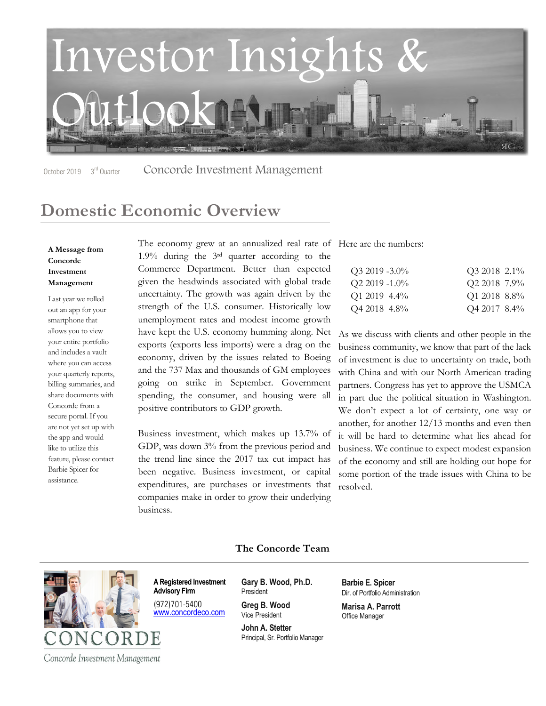

October 2019 3<sup>rd</sup> Quarter Concorde Investment Management

## **Domestic Economic Overview**

#### **A Message from Concorde Investment Management**

Last year we rolled out an app for your smartphone that allows you to view your entire portfolio and includes a vault where you can access your quarterly reports, billing summaries, and share documents with Concorde from a secure portal. If you are not yet set up with the app and would like to utilize this feature, please contact Barbie Spicer for assistance.

The economy grew at an annualized real rate of Here are the numbers: 1.9% during the 3rd quarter according to the Commerce Department. Better than expected given the headwinds associated with global trade uncertainty. The growth was again driven by the strength of the U.S. consumer. Historically low unemployment rates and modest income growth have kept the U.S. economy humming along. Net exports (exports less imports) were a drag on the economy, driven by the issues related to Boeing and the 737 Max and thousands of GM employees going on strike in September. Government spending, the consumer, and housing were all positive contributors to GDP growth.

Business investment, which makes up 13.7% of GDP, was down 3% from the previous period and the trend line since the 2017 tax cut impact has been negative. Business investment, or capital expenditures, are purchases or investments that companies make in order to grow their underlying business.

| $Q3 2019 - 3.0\%$   | Q3 2018 2.1% |  |
|---------------------|--------------|--|
| $Q2\,2019\, -1.0\%$ | Q2 2018 7.9% |  |
| $Q1\,2019\,4.4\%$   | Q1 2018 8.8% |  |
| Q4 2018 4.8%        | Q4 2017 8.4% |  |

As we discuss with clients and other people in the business community, we know that part of the lack of investment is due to uncertainty on trade, both with China and with our North American trading partners. Congress has yet to approve the USMCA in part due the political situation in Washington. We don't expect a lot of certainty, one way or another, for another 12/13 months and even then it will be hard to determine what lies ahead for business. We continue to expect modest expansion of the economy and still are holding out hope for some portion of the trade issues with China to be resolved.

#### **The Concorde Team**



**A Registered Investment Advisory Firm**

(972)701-5400 www.concordeco.com **Gary B. Wood, Ph.D.** President

**Greg B. Wood** Vice President

**John A. Stetter** Principal, Sr. Portfolio Manager **Barbie E. Spicer** Dir. of Portfolio Administration

**Marisa A. Parrott** Office Manager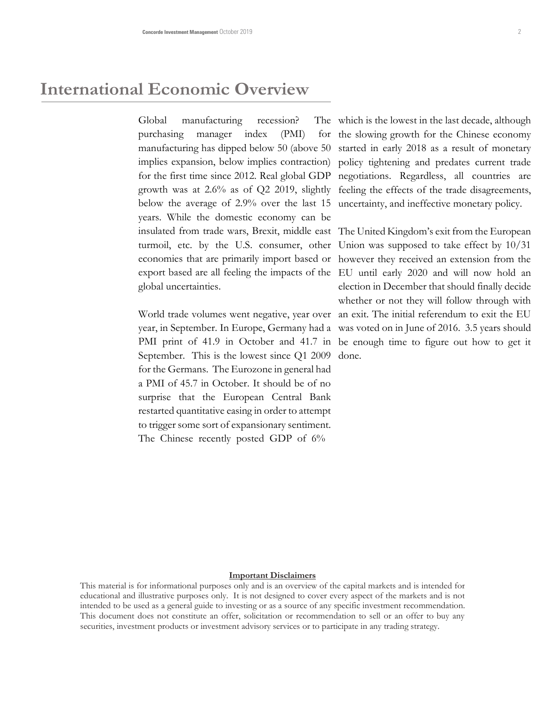### **International Economic Overview**

Global manufacturing recession? purchasing manager index (PMI) manufacturing has dipped below 50 (above 50 started in early 2018 as a result of monetary implies expansion, below implies contraction) policy tightening and predates current trade for the first time since 2012. Real global GDP negotiations. Regardless, all countries are growth was at 2.6% as of Q2 2019, slightly below the average of 2.9% over the last 15 years. While the domestic economy can be insulated from trade wars, Brexit, middle east The United Kingdom's exit from the European turmoil, etc. by the U.S. consumer, other Union was supposed to take effect by 10/31 economies that are primarily import based or however they received an extension from the export based are all feeling the impacts of the EU until early 2020 and will now hold an global uncertainties.

year, in September. In Europe, Germany had a was voted on in June of 2016. 3.5 years should PMI print of 41.9 in October and 41.7 in be enough time to figure out how to get it September. This is the lowest since Q1 2009 done. for the Germans. The Eurozone in general had a PMI of 45.7 in October. It should be of no surprise that the European Central Bank restarted quantitative easing in order to attempt to trigger some sort of expansionary sentiment. The Chinese recently posted GDP of 6%

The which is the lowest in the last decade, although for the slowing growth for the Chinese economy feeling the effects of the trade disagreements, uncertainty, and ineffective monetary policy.

World trade volumes went negative, year over an exit. The initial referendum to exit the EU election in December that should finally decide whether or not they will follow through with

#### **Important Disclaimers**

This material is for informational purposes only and is an overview of the capital markets and is intended for educational and illustrative purposes only. It is not designed to cover every aspect of the markets and is not intended to be used as a general guide to investing or as a source of any specific investment recommendation. This document does not constitute an offer, solicitation or recommendation to sell or an offer to buy any securities, investment products or investment advisory services or to participate in any trading strategy.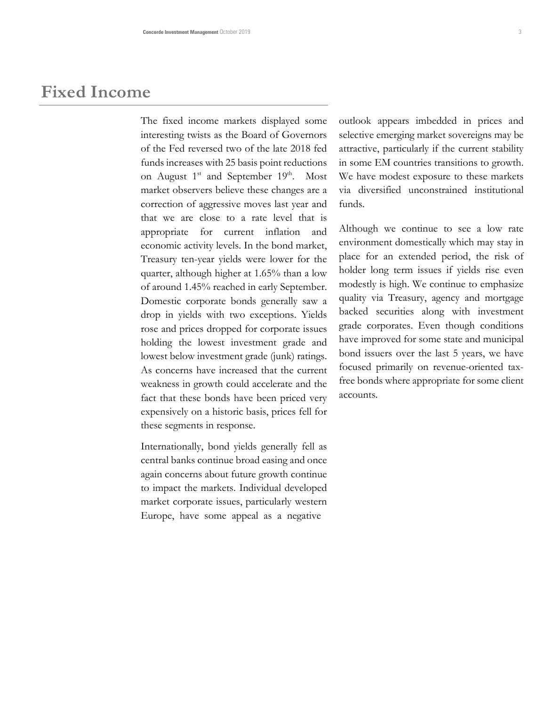### **Fixed Income**

The fixed income markets displayed some interesting twists as the Board of Governors of the Fed reversed two of the late 2018 fed funds increases with 25 basis point reductions on August 1<sup>st</sup> and September 19<sup>th</sup>. Most market observers believe these changes are a correction of aggressive moves last year and that we are close to a rate level that is appropriate for current inflation and economic activity levels. In the bond market, Treasury ten-year yields were lower for the quarter, although higher at 1.65% than a low of around 1.45% reached in early September. Domestic corporate bonds generally saw a drop in yields with two exceptions. Yields rose and prices dropped for corporate issues holding the lowest investment grade and lowest below investment grade (junk) ratings. As concerns have increased that the current weakness in growth could accelerate and the fact that these bonds have been priced very expensively on a historic basis, prices fell for these segments in response.

Internationally, bond yields generally fell as central banks continue broad easing and once again concerns about future growth continue to impact the markets. Individual developed market corporate issues, particularly western Europe, have some appeal as a negative

outlook appears imbedded in prices and selective emerging market sovereigns may be attractive, particularly if the current stability in some EM countries transitions to growth. We have modest exposure to these markets via diversified unconstrained institutional funds.

Although we continue to see a low rate environment domestically which may stay in place for an extended period, the risk of holder long term issues if yields rise even modestly is high. We continue to emphasize quality via Treasury, agency and mortgage backed securities along with investment grade corporates. Even though conditions have improved for some state and municipal bond issuers over the last 5 years, we have focused primarily on revenue-oriented taxfree bonds where appropriate for some client accounts.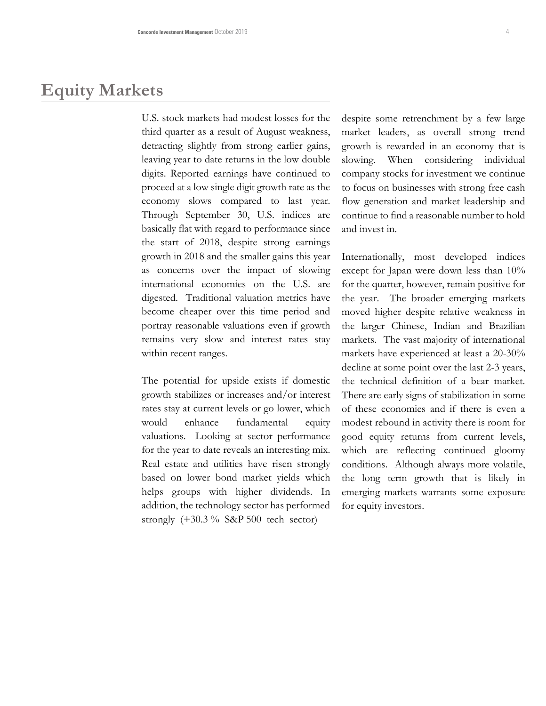## **Equity Markets**

U.S. stock markets had modest losses for the third quarter as a result of August weakness, detracting slightly from strong earlier gains, leaving year to date returns in the low double digits. Reported earnings have continued to proceed at a low single digit growth rate as the economy slows compared to last year. Through September 30, U.S. indices are basically flat with regard to performance since the start of 2018, despite strong earnings growth in 2018 and the smaller gains this year as concerns over the impact of slowing international economies on the U.S. are digested. Traditional valuation metrics have become cheaper over this time period and portray reasonable valuations even if growth remains very slow and interest rates stay within recent ranges.

The potential for upside exists if domestic growth stabilizes or increases and/or interest rates stay at current levels or go lower, which would enhance fundamental equity valuations. Looking at sector performance for the year to date reveals an interesting mix. Real estate and utilities have risen strongly based on lower bond market yields which helps groups with higher dividends. In addition, the technology sector has performed strongly  $(+30.3\%$  S&P 500 tech sector)

despite some retrenchment by a few large market leaders, as overall strong trend growth is rewarded in an economy that is slowing. When considering individual company stocks for investment we continue to focus on businesses with strong free cash flow generation and market leadership and continue to find a reasonable number to hold and invest in.

Internationally, most developed indices except for Japan were down less than 10% for the quarter, however, remain positive for the year. The broader emerging markets moved higher despite relative weakness in the larger Chinese, Indian and Brazilian markets. The vast majority of international markets have experienced at least a 20-30% decline at some point over the last 2-3 years, the technical definition of a bear market. There are early signs of stabilization in some of these economies and if there is even a modest rebound in activity there is room for good equity returns from current levels, which are reflecting continued gloomy conditions. Although always more volatile, the long term growth that is likely in emerging markets warrants some exposure for equity investors.